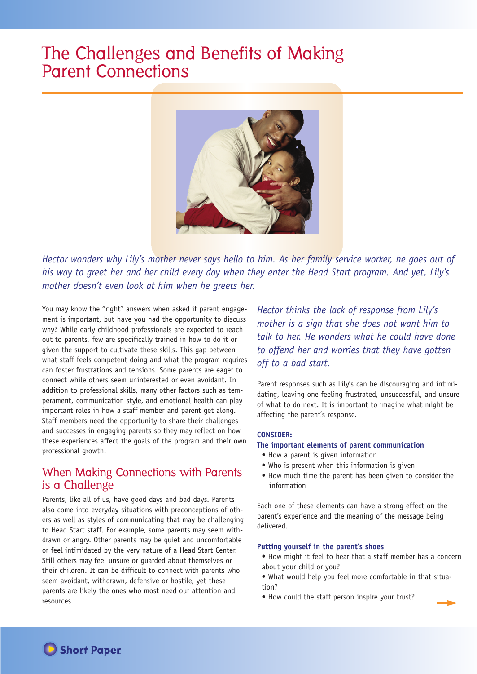# The Challenges and Benefits of Making Parent Connections



Hector wonders why Lily's mother never says hello to him. As her family service worker, he goes out of his way to greet her and her child every day when they enter the Head Start program. And yet, Lily's *mother doesn't even look at him when he greets her.*

You may know the "right" answers when asked if parent engagement is important, but have you had the opportunity to discuss why? While early childhood professionals are expected to reach out to parents, few are specifically trained in how to do it or given the support to cultivate these skills. This gap between what staff feels competent doing and what the program requires can foster frustrations and tensions. Some parents are eager to connect while others seem uninterested or even avoidant. In addition to professional skills, many other factors such as temperament, communication style, and emotional health can play important roles in how a staff member and parent get along. Staff members need the opportunity to share their challenges and successes in engaging parents so they may reflect on how these experiences affect the goals of the program and their own professional growth.

# When Making Connections with Parents is a Challenge

Parents, like all of us, have good days and bad days. Parents also come into everyday situations with preconceptions of others as well as styles of communicating that may be challenging to Head Start staff. For example, some parents may seem withdrawn or angry. Other parents may be quiet and uncomfortable or feel intimidated by the very nature of a Head Start Center. Still others may feel unsure or guarded about themselves or their children. It can be difficult to connect with parents who seem avoidant, withdrawn, defensive or hostile, yet these parents are likely the ones who most need our attention and resources.

*Hector thinks the lack of response from Lily's mother is a sign that she does not want him to talk to her. He wonders what he could have done to offend her and worries that they have gotten off to a bad start.*

Parent responses such as Lily's can be discouraging and intimidating, leaving one feeling frustrated, unsuccessful, and unsure of what to do next. It is important to imagine what might be affecting the parent's response.

## **CONSIDER:**

## **The important elements of parent communication**

- How a parent is given information
- Who is present when this information is given
- How much time the parent has been given to consider the information

Each one of these elements can have a strong effect on the parent's experience and the meaning of the message being delivered.

#### **Putting yourself in the parent's shoes**

- How might it feel to hear that a staff member has a concern about your child or you?
- What would help you feel more comfortable in that situation?
- How could the staff person inspire your trust?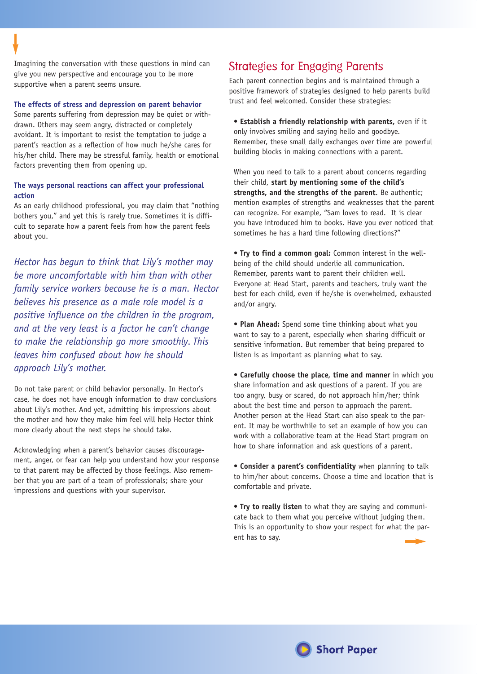Imagining the conversation with these questions in mind can give you new perspective and encourage you to be more supportive when a parent seems unsure.

#### **The effects of stress and depression on parent behavior**

Some parents suffering from depression may be quiet or withdrawn. Others may seem angry, distracted or completely avoidant. It is important to resist the temptation to judge a parent's reaction as a reflection of how much he/she cares for his/her child. There may be stressful family, health or emotional factors preventing them from opening up.

## **The ways personal reactions can affect your professional action**

As an early childhood professional, you may claim that "nothing bothers you," and yet this is rarely true. Sometimes it is difficult to separate how a parent feels from how the parent feels about you.

*Hector has begun to think that Lily's mother may be more uncomfortable with him than with other family service workers because he is a man. Hector believes his presence as a male role model is a positive influence on the children in the program, and at the very least is a factor he can't change to make the relationship go more smoothly. This leaves him confused about how he should approach Lily's mother.*

Do not take parent or child behavior personally. In Hector's case, he does not have enough information to draw conclusions about Lily's mother. And yet, admitting his impressions about the mother and how they make him feel will help Hector think more clearly about the next steps he should take.

Acknowledging when a parent's behavior causes discouragement, anger, or fear can help you understand how your response to that parent may be affected by those feelings. Also remember that you are part of a team of professionals; share your impressions and questions with your supervisor.

# Strategies for Engaging Parents

Each parent connection begins and is maintained through a positive framework of strategies designed to help parents build trust and feel welcomed. Consider these strategies:

**• Establish a friendly relationship with parents,** even if it only involves smiling and saying hello and goodbye. Remember, these small daily exchanges over time are powerful building blocks in making connections with a parent.

When you need to talk to a parent about concerns regarding their child, **start by mentioning some of the child's strengths, and the strengths of the parent**. Be authentic; mention examples of strengths and weaknesses that the parent can recognize. For example, "Sam loves to read. It is clear you have introduced him to books. Have you ever noticed that sometimes he has a hard time following directions?"

**• Try to find a common goal:** Common interest in the wellbeing of the child should underlie all communication. Remember, parents want to parent their children well. Everyone at Head Start, parents and teachers, truly want the best for each child, even if he/she is overwhelmed, exhausted and/or angry.

**• Plan Ahead:** Spend some time thinking about what you want to say to a parent, especially when sharing difficult or sensitive information. But remember that being prepared to listen is as important as planning what to say.

**• Carefully choose the place, time and manner** in which you share information and ask questions of a parent. If you are too angry, busy or scared, do not approach him/her; think about the best time and person to approach the parent. Another person at the Head Start can also speak to the parent. It may be worthwhile to set an example of how you can work with a collaborative team at the Head Start program on how to share information and ask questions of a parent.

**• Consider a parent's confidentiality** when planning to talk to him/her about concerns. Choose a time and location that is comfortable and private.

**• Try to really listen** to what they are saying and communicate back to them what you perceive without judging them. This is an opportunity to show your respect for what the parent has to say.